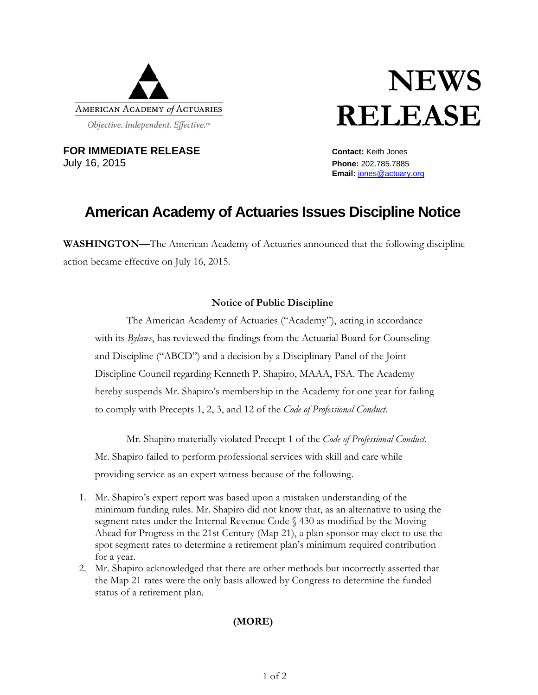

# **NEWS RELEASE**

**FOR IMMEDIATE RELEASE CONTACT: Contact:** Keith Jones July 16, 2015 **Phone:** 202.785.7885

**Email:** jones@actuary.org

## **American Academy of Actuaries Issues Discipline Notice**

**WASHINGTON—**The American Academy of Actuaries announced that the following discipline action became effective on July 16, 2015.

#### **Notice of Public Discipline**

 The American Academy of Actuaries ("Academy"), acting in accordance with its *Bylaws*, has reviewed the findings from the Actuarial Board for Counseling and Discipline ("ABCD") and a decision by a Disciplinary Panel of the Joint Discipline Council regarding Kenneth P. Shapiro, MAAA, FSA. The Academy hereby suspends Mr. Shapiro's membership in the Academy for one year for failing to comply with Precepts 1, 2, 3, and 12 of the *Code of Professional Conduct*.

Mr. Shapiro materially violated Precept 1 of the *Code of Professional Conduct*. Mr. Shapiro failed to perform professional services with skill and care while providing service as an expert witness because of the following.

- 1. Mr. Shapiro's expert report was based upon a mistaken understanding of the minimum funding rules. Mr. Shapiro did not know that, as an alternative to using the segment rates under the Internal Revenue Code § 430 as modified by the Moving Ahead for Progress in the 21st Century (Map 21), a plan sponsor may elect to use the spot segment rates to determine a retirement plan's minimum required contribution for a year.
- 2. Mr. Shapiro acknowledged that there are other methods but incorrectly asserted that the Map 21 rates were the only basis allowed by Congress to determine the funded status of a retirement plan.

### **(MORE)**